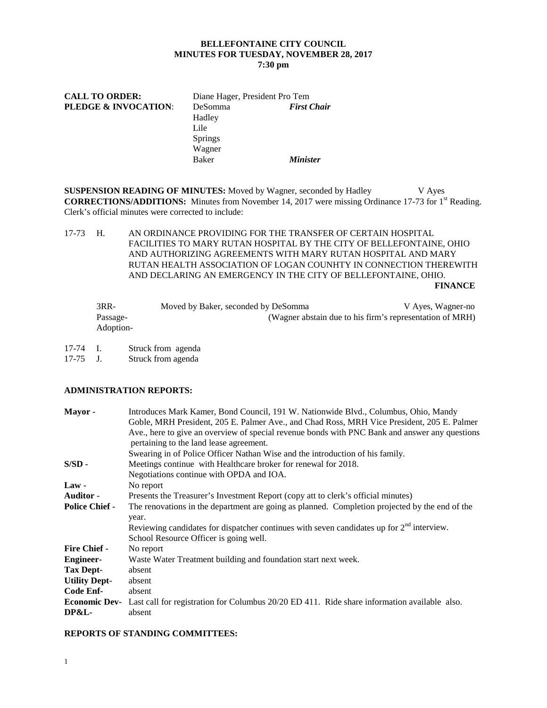## **BELLEFONTAINE CITY COUNCIL MINUTES FOR TUESDAY, NOVEMBER 28, 2017 7:30 pm**

| <b>CALL TO ORDER:</b>           | Diane Hager, President Pro Tem                     |                        |  |  |
|---------------------------------|----------------------------------------------------|------------------------|--|--|
| <b>PLEDGE &amp; INVOCATION:</b> | <b>DeSomma</b><br>Hadley<br>Lile<br><b>Springs</b> | <b>First Chair</b>     |  |  |
|                                 | Wagner<br>Baker                                    | <i><b>Minister</b></i> |  |  |

**SUSPENSION READING OF MINUTES:** Moved by Wagner, seconded by Hadley V Ayes **CORRECTIONS/ADDITIONS:** Minutes from November 14, 2017 were missing Ordinance 17-73 for 1st Reading. Clerk's official minutes were corrected to include:

17-73 H. AN ORDINANCE PROVIDING FOR THE TRANSFER OF CERTAIN HOSPITAL FACILITIES TO MARY RUTAN HOSPITAL BY THE CITY OF BELLEFONTAINE, OHIO AND AUTHORIZING AGREEMENTS WITH MARY RUTAN HOSPITAL AND MARY RUTAN HEALTH ASSOCIATION OF LOGAN COUNHTY IN CONNECTION THEREWITH AND DECLARING AN EMERGENCY IN THE CITY OF BELLEFONTAINE, OHIO. **FINANCE** 

| $3RR-$    | Moved by Baker, seconded by DeSomma | V Ayes, Wagner-no                                        |
|-----------|-------------------------------------|----------------------------------------------------------|
| Passage-  |                                     | (Wagner abstain due to his firm's representation of MRH) |
| Adoption- |                                     |                                                          |

17-74 I. Struck from agenda<br>17-75 J. Struck from agenda

Struck from agenda

# **ADMINISTRATION REPORTS:**

| Mayor-                | Introduces Mark Kamer, Bond Council, 191 W. Nationwide Blvd., Columbus, Ohio, Mandy                               |  |  |  |  |
|-----------------------|-------------------------------------------------------------------------------------------------------------------|--|--|--|--|
|                       | Goble, MRH President, 205 E. Palmer Ave., and Chad Ross, MRH Vice President, 205 E. Palmer                        |  |  |  |  |
|                       | Ave., here to give an overview of special revenue bonds with PNC Bank and answer any questions                    |  |  |  |  |
|                       | pertaining to the land lease agreement.                                                                           |  |  |  |  |
|                       | Swearing in of Police Officer Nathan Wise and the introduction of his family.                                     |  |  |  |  |
| $S/SD -$              | Meetings continue with Healthcare broker for renewal for 2018.                                                    |  |  |  |  |
|                       | Negotiations continue with OPDA and IOA.                                                                          |  |  |  |  |
| $Law -$               | No report                                                                                                         |  |  |  |  |
| <b>Auditor -</b>      | Presents the Treasurer's Investment Report (copy att to clerk's official minutes)                                 |  |  |  |  |
| <b>Police Chief -</b> | The renovations in the department are going as planned. Completion projected by the end of the                    |  |  |  |  |
|                       | year.                                                                                                             |  |  |  |  |
|                       | Reviewing candidates for dispatcher continues with seven candidates up for $2nd$ interview.                       |  |  |  |  |
|                       | School Resource Officer is going well.                                                                            |  |  |  |  |
| <b>Fire Chief -</b>   | No report                                                                                                         |  |  |  |  |
| <b>Engineer-</b>      | Waste Water Treatment building and foundation start next week.                                                    |  |  |  |  |
| Tax Dept-             | absent                                                                                                            |  |  |  |  |
| <b>Utility Dept-</b>  | absent                                                                                                            |  |  |  |  |
| Code Enf-             | absent                                                                                                            |  |  |  |  |
|                       | <b>Economic Dev-</b> Last call for registration for Columbus 20/20 ED 411. Ride share information available also. |  |  |  |  |
| DP&L-                 | absent                                                                                                            |  |  |  |  |

### **REPORTS OF STANDING COMMITTEES:**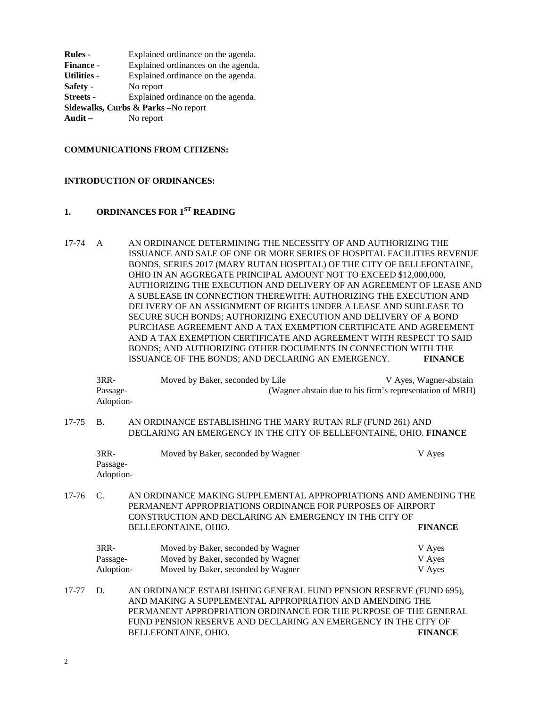| Explained ordinance on the agenda.  |  |  |  |  |  |
|-------------------------------------|--|--|--|--|--|
| Explained ordinances on the agenda. |  |  |  |  |  |
| Explained ordinance on the agenda.  |  |  |  |  |  |
| No report                           |  |  |  |  |  |
| Explained ordinance on the agenda.  |  |  |  |  |  |
| Sidewalks, Curbs & Parks -No report |  |  |  |  |  |
| No report                           |  |  |  |  |  |
|                                     |  |  |  |  |  |

### **COMMUNICATIONS FROM CITIZENS:**

#### **INTRODUCTION OF ORDINANCES:**

# **1. ORDINANCES FOR 1ST READING**

17-74 A AN ORDINANCE DETERMINING THE NECESSITY OF AND AUTHORIZING THE ISSUANCE AND SALE OF ONE OR MORE SERIES OF HOSPITAL FACILITIES REVENUE BONDS, SERIES 2017 (MARY RUTAN HOSPITAL) OF THE CITY OF BELLEFONTAINE, OHIO IN AN AGGREGATE PRINCIPAL AMOUNT NOT TO EXCEED \$12,000,000, AUTHORIZING THE EXECUTION AND DELIVERY OF AN AGREEMENT OF LEASE AND A SUBLEASE IN CONNECTION THEREWITH: AUTHORIZING THE EXECUTION AND DELIVERY OF AN ASSIGNMENT OF RIGHTS UNDER A LEASE AND SUBLEASE TO SECURE SUCH BONDS; AUTHORIZING EXECUTION AND DELIVERY OF A BOND PURCHASE AGREEMENT AND A TAX EXEMPTION CERTIFICATE AND AGREEMENT AND A TAX EXEMPTION CERTIFICATE AND AGREEMENT WITH RESPECT TO SAID BONDS; AND AUTHORIZING OTHER DOCUMENTS IN CONNECTION WITH THE ISSUANCE OF THE BONDS; AND DECLARING AN EMERGENCY. **FINANCE**

3RR- Moved by Baker, seconded by Lile V Ayes, Wagner-abstain Passage- (Wagner abstain due to his firm's representation of MRH) Adoption-

## 17-75 B. AN ORDINANCE ESTABLISHING THE MARY RUTAN RLF (FUND 261) AND DECLARING AN EMERGENCY IN THE CITY OF BELLEFONTAINE, OHIO. **FINANCE**

| 3RR-      | Moved by Baker, seconded by Wagner | V Ayes |
|-----------|------------------------------------|--------|
| Passage-  |                                    |        |
| Adoption- |                                    |        |

17-76 C. AN ORDINANCE MAKING SUPPLEMENTAL APPROPRIATIONS AND AMENDING THE PERMANENT APPROPRIATIONS ORDINANCE FOR PURPOSES OF AIRPORT CONSTRUCTION AND DECLARING AN EMERGENCY IN THE CITY OF BELLEFONTAINE, OHIO. **FINANCE**

| 3RR-      | Moved by Baker, seconded by Wagner | V Ayes |
|-----------|------------------------------------|--------|
| Passage-  | Moved by Baker, seconded by Wagner | V Aves |
| Adoption- | Moved by Baker, seconded by Wagner | V Aves |

17-77 D. AN ORDINANCE ESTABLISHING GENERAL FUND PENSION RESERVE (FUND 695), AND MAKING A SUPPLEMENTAL APPROPRIATION AND AMENDING THE PERMANENT APPROPRIATION ORDINANCE FOR THE PURPOSE OF THE GENERAL FUND PENSION RESERVE AND DECLARING AN EMERGENCY IN THE CITY OF BELLEFONTAINE, OHIO. **FINANCE**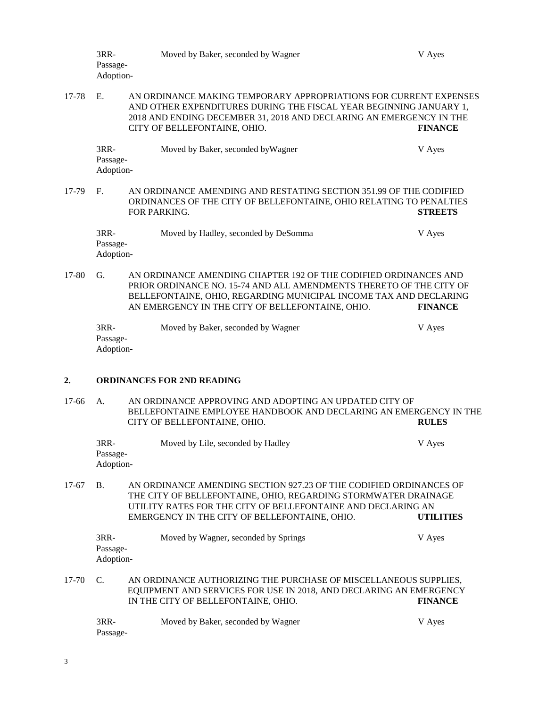|         | 3RR-<br>Passage-<br>Adoption-                                                                                                                                                                                                                                                          |  | Moved by Baker, seconded by Wagner                                                                                                                                                                                                                               | V Ayes         |  |
|---------|----------------------------------------------------------------------------------------------------------------------------------------------------------------------------------------------------------------------------------------------------------------------------------------|--|------------------------------------------------------------------------------------------------------------------------------------------------------------------------------------------------------------------------------------------------------------------|----------------|--|
| 17-78   | E.                                                                                                                                                                                                                                                                                     |  | AN ORDINANCE MAKING TEMPORARY APPROPRIATIONS FOR CURRENT EXPENSES<br>AND OTHER EXPENDITURES DURING THE FISCAL YEAR BEGINNING JANUARY 1,<br>2018 AND ENDING DECEMBER 31, 2018 AND DECLARING AN EMERGENCY IN THE<br>CITY OF BELLEFONTAINE, OHIO.<br><b>FINANCE</b> |                |  |
|         | 3RR-<br>Passage-<br>Adoption-                                                                                                                                                                                                                                                          |  | Moved by Baker, seconded by Wagner                                                                                                                                                                                                                               | V Ayes         |  |
| 17-79   | F.                                                                                                                                                                                                                                                                                     |  | AN ORDINANCE AMENDING AND RESTATING SECTION 351.99 OF THE CODIFIED<br>ORDINANCES OF THE CITY OF BELLEFONTAINE, OHIO RELATING TO PENALTIES<br>FOR PARKING.                                                                                                        | <b>STREETS</b> |  |
|         | 3RR-<br>Passage-<br>Adoption-                                                                                                                                                                                                                                                          |  | Moved by Hadley, seconded by DeSomma                                                                                                                                                                                                                             | V Ayes         |  |
| 17-80   | G.                                                                                                                                                                                                                                                                                     |  | AN ORDINANCE AMENDING CHAPTER 192 OF THE CODIFIED ORDINANCES AND<br>PRIOR ORDINANCE NO. 15-74 AND ALL AMENDMENTS THERETO OF THE CITY OF<br>BELLEFONTAINE, OHIO, REGARDING MUNICIPAL INCOME TAX AND DECLARING<br>AN EMERGENCY IN THE CITY OF BELLEFONTAINE, OHIO. | <b>FINANCE</b> |  |
|         | 3RR-<br>Passage-<br>Adoption-                                                                                                                                                                                                                                                          |  | Moved by Baker, seconded by Wagner                                                                                                                                                                                                                               | V Ayes         |  |
| 2.      |                                                                                                                                                                                                                                                                                        |  | <b>ORDINANCES FOR 2ND READING</b>                                                                                                                                                                                                                                |                |  |
| $17-66$ | А.                                                                                                                                                                                                                                                                                     |  | AN ORDINANCE APPROVING AND ADOPTING AN UPDATED CITY OF<br>BELLEFONTAINE EMPLOYEE HANDBOOK AND DECLARING AN EMERGENCY IN THE<br>CITY OF BELLEFONTAINE, OHIO.                                                                                                      | <b>RULES</b>   |  |
|         | 3RR-<br>Passage-<br>Adoption-                                                                                                                                                                                                                                                          |  | Moved by Lile, seconded by Hadley                                                                                                                                                                                                                                | V Ayes         |  |
| 17-67   | <b>B.</b><br>AN ORDINANCE AMENDING SECTION 927.23 OF THE CODIFIED ORDINANCES OF<br>THE CITY OF BELLEFONTAINE, OHIO, REGARDING STORMWATER DRAINAGE<br>UTILITY RATES FOR THE CITY OF BELLEFONTAINE AND DECLARING AN<br>EMERGENCY IN THE CITY OF BELLEFONTAINE, OHIO.<br><b>UTILITIES</b> |  |                                                                                                                                                                                                                                                                  |                |  |
|         | 3RR-<br>Passage-<br>Adoption-                                                                                                                                                                                                                                                          |  | Moved by Wagner, seconded by Springs                                                                                                                                                                                                                             | V Ayes         |  |
| 17-70   | C.                                                                                                                                                                                                                                                                                     |  | AN ORDINANCE AUTHORIZING THE PURCHASE OF MISCELLANEOUS SUPPLIES,<br>EQUIPMENT AND SERVICES FOR USE IN 2018, AND DECLARING AN EMERGENCY<br>IN THE CITY OF BELLEFONTAINE, OHIO.                                                                                    | <b>FINANCE</b> |  |
|         | 3RR-<br>Passage-                                                                                                                                                                                                                                                                       |  | Moved by Baker, seconded by Wagner                                                                                                                                                                                                                               | V Ayes         |  |